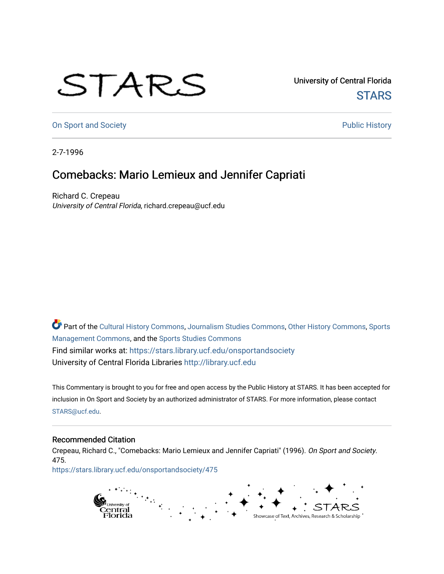## STARS

University of Central Florida **STARS** 

[On Sport and Society](https://stars.library.ucf.edu/onsportandsociety) **Public History** Public History

2-7-1996

## Comebacks: Mario Lemieux and Jennifer Capriati

Richard C. Crepeau University of Central Florida, richard.crepeau@ucf.edu

Part of the [Cultural History Commons](http://network.bepress.com/hgg/discipline/496?utm_source=stars.library.ucf.edu%2Fonsportandsociety%2F475&utm_medium=PDF&utm_campaign=PDFCoverPages), [Journalism Studies Commons,](http://network.bepress.com/hgg/discipline/333?utm_source=stars.library.ucf.edu%2Fonsportandsociety%2F475&utm_medium=PDF&utm_campaign=PDFCoverPages) [Other History Commons,](http://network.bepress.com/hgg/discipline/508?utm_source=stars.library.ucf.edu%2Fonsportandsociety%2F475&utm_medium=PDF&utm_campaign=PDFCoverPages) [Sports](http://network.bepress.com/hgg/discipline/1193?utm_source=stars.library.ucf.edu%2Fonsportandsociety%2F475&utm_medium=PDF&utm_campaign=PDFCoverPages) [Management Commons](http://network.bepress.com/hgg/discipline/1193?utm_source=stars.library.ucf.edu%2Fonsportandsociety%2F475&utm_medium=PDF&utm_campaign=PDFCoverPages), and the [Sports Studies Commons](http://network.bepress.com/hgg/discipline/1198?utm_source=stars.library.ucf.edu%2Fonsportandsociety%2F475&utm_medium=PDF&utm_campaign=PDFCoverPages) Find similar works at: <https://stars.library.ucf.edu/onsportandsociety> University of Central Florida Libraries [http://library.ucf.edu](http://library.ucf.edu/) 

This Commentary is brought to you for free and open access by the Public History at STARS. It has been accepted for inclusion in On Sport and Society by an authorized administrator of STARS. For more information, please contact [STARS@ucf.edu](mailto:STARS@ucf.edu).

## Recommended Citation

Crepeau, Richard C., "Comebacks: Mario Lemieux and Jennifer Capriati" (1996). On Sport and Society. 475.

[https://stars.library.ucf.edu/onsportandsociety/475](https://stars.library.ucf.edu/onsportandsociety/475?utm_source=stars.library.ucf.edu%2Fonsportandsociety%2F475&utm_medium=PDF&utm_campaign=PDFCoverPages)

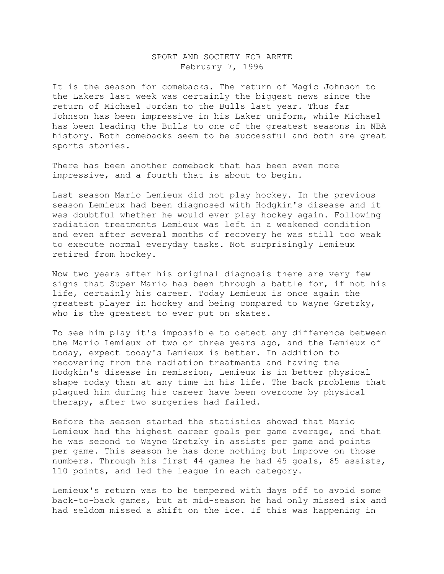## SPORT AND SOCIETY FOR ARETE February 7, 1996

It is the season for comebacks. The return of Magic Johnson to the Lakers last week was certainly the biggest news since the return of Michael Jordan to the Bulls last year. Thus far Johnson has been impressive in his Laker uniform, while Michael has been leading the Bulls to one of the greatest seasons in NBA history. Both comebacks seem to be successful and both are great sports stories.

There has been another comeback that has been even more impressive, and a fourth that is about to begin.

Last season Mario Lemieux did not play hockey. In the previous season Lemieux had been diagnosed with Hodgkin's disease and it was doubtful whether he would ever play hockey again. Following radiation treatments Lemieux was left in a weakened condition and even after several months of recovery he was still too weak to execute normal everyday tasks. Not surprisingly Lemieux retired from hockey.

Now two years after his original diagnosis there are very few signs that Super Mario has been through a battle for, if not his life, certainly his career. Today Lemieux is once again the greatest player in hockey and being compared to Wayne Gretzky, who is the greatest to ever put on skates.

To see him play it's impossible to detect any difference between the Mario Lemieux of two or three years ago, and the Lemieux of today, expect today's Lemieux is better. In addition to recovering from the radiation treatments and having the Hodgkin's disease in remission, Lemieux is in better physical shape today than at any time in his life. The back problems that plagued him during his career have been overcome by physical therapy, after two surgeries had failed.

Before the season started the statistics showed that Mario Lemieux had the highest career goals per game average, and that he was second to Wayne Gretzky in assists per game and points per game. This season he has done nothing but improve on those numbers. Through his first 44 games he had 45 goals, 65 assists, 110 points, and led the league in each category.

Lemieux's return was to be tempered with days off to avoid some back-to-back games, but at mid-season he had only missed six and had seldom missed a shift on the ice. If this was happening in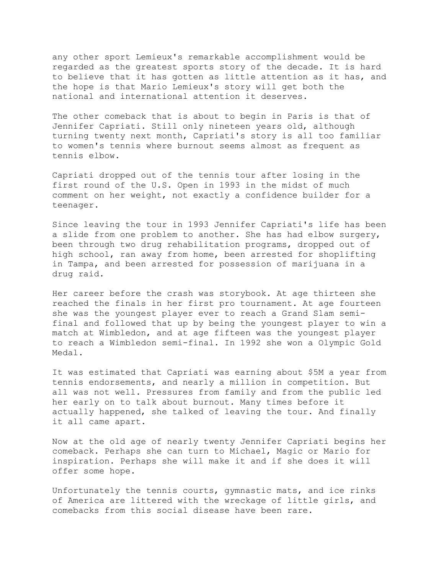any other sport Lemieux's remarkable accomplishment would be regarded as the greatest sports story of the decade. It is hard to believe that it has gotten as little attention as it has, and the hope is that Mario Lemieux's story will get both the national and international attention it deserves.

The other comeback that is about to begin in Paris is that of Jennifer Capriati. Still only nineteen years old, although turning twenty next month, Capriati's story is all too familiar to women's tennis where burnout seems almost as frequent as tennis elbow.

Capriati dropped out of the tennis tour after losing in the first round of the U.S. Open in 1993 in the midst of much comment on her weight, not exactly a confidence builder for a teenager.

Since leaving the tour in 1993 Jennifer Capriati's life has been a slide from one problem to another. She has had elbow surgery, been through two drug rehabilitation programs, dropped out of high school, ran away from home, been arrested for shoplifting in Tampa, and been arrested for possession of marijuana in a drug raid.

Her career before the crash was storybook. At age thirteen she reached the finals in her first pro tournament. At age fourteen she was the youngest player ever to reach a Grand Slam semifinal and followed that up by being the youngest player to win a match at Wimbledon, and at age fifteen was the youngest player to reach a Wimbledon semi-final. In 1992 she won a Olympic Gold Medal.

It was estimated that Capriati was earning about \$5M a year from tennis endorsements, and nearly a million in competition. But all was not well. Pressures from family and from the public led her early on to talk about burnout. Many times before it actually happened, she talked of leaving the tour. And finally it all came apart.

Now at the old age of nearly twenty Jennifer Capriati begins her comeback. Perhaps she can turn to Michael, Magic or Mario for inspiration. Perhaps she will make it and if she does it will offer some hope.

Unfortunately the tennis courts, gymnastic mats, and ice rinks of America are littered with the wreckage of little girls, and comebacks from this social disease have been rare.